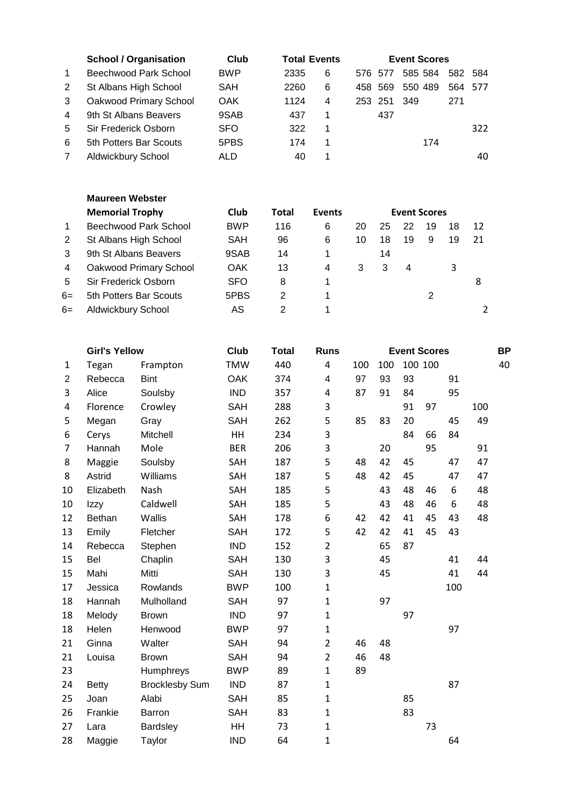|                | <b>School / Organisation</b> | Club       | <b>Total Events</b> |   |         | <b>Event Scores</b> |         |     |
|----------------|------------------------------|------------|---------------------|---|---------|---------------------|---------|-----|
| $\overline{1}$ | Beechwood Park School        | <b>BWP</b> | 2335                | 6 | 576 577 | 585 584             | 582 584 |     |
| 2              | St Albans High School        | SAH        | 2260                | 6 | 458 569 | 550 489             | 564 577 |     |
| 3              | Oakwood Primary School       | <b>OAK</b> | 1124                | 4 | 253 251 | 349                 | 271     |     |
| 4              | 9th St Albans Beavers        | 9SAB       | 437                 |   | 437     |                     |         |     |
| 5              | Sir Frederick Osborn         | <b>SFO</b> | 322                 | 1 |         |                     |         | 322 |
| 6              | 5th Potters Bar Scouts       | 5PBS       | 174                 | 1 |         | 174                 |         |     |
| 7              | Aldwickbury School           | ALD        | 40                  |   |         |                     |         | 40  |

|      | <b>Maureen Webster</b> |            |       |               |    |    |                     |    |    |    |
|------|------------------------|------------|-------|---------------|----|----|---------------------|----|----|----|
|      | <b>Memorial Trophy</b> | Club       | Total | <b>Events</b> |    |    | <b>Event Scores</b> |    |    |    |
| 1    | Beechwood Park School  | <b>BWP</b> | 116   | 6             | 20 | 25 | 22                  | 19 | 18 | 12 |
| 2    | St Albans High School  | SAH        | 96    | 6             | 10 | 18 | 19                  | 9  | 19 | 21 |
| 3    | 9th St Albans Beavers  | 9SAB       | 14    | 1             |    | 14 |                     |    |    |    |
| 4    | Oakwood Primary School | <b>OAK</b> | 13    | 4             | 3  | 3  | 4                   |    | 3  |    |
| 5    | Sir Frederick Osborn   | <b>SFO</b> | 8     | 1             |    |    |                     |    |    | 8  |
| $6=$ | 5th Potters Bar Scouts | 5PBS       | 2     | 1             |    |    |                     | 2  |    |    |
| $6=$ | Aldwickbury School     | AS         | 2     | 1             |    |    |                     |    |    |    |

|    | <b>Girl's Yellow</b> |                       | Club       | <b>Total</b> | <b>Runs</b>    |     |     | <b>Event Scores</b> |         |     |     | <b>BP</b> |
|----|----------------------|-----------------------|------------|--------------|----------------|-----|-----|---------------------|---------|-----|-----|-----------|
| 1  | Tegan                | Frampton              | <b>TMW</b> | 440          | 4              | 100 | 100 |                     | 100 100 |     |     | 40        |
| 2  | Rebecca              | <b>Bint</b>           | <b>OAK</b> | 374          | 4              | 97  | 93  | 93                  |         | 91  |     |           |
| 3  | Alice                | Soulsby               | <b>IND</b> | 357          | 4              | 87  | 91  | 84                  |         | 95  |     |           |
| 4  | Florence             | Crowley               | <b>SAH</b> | 288          | 3              |     |     | 91                  | 97      |     | 100 |           |
| 5  | Megan                | Gray                  | <b>SAH</b> | 262          | 5              | 85  | 83  | 20                  |         | 45  | 49  |           |
| 6  | Cerys                | Mitchell              | HH         | 234          | 3              |     |     | 84                  | 66      | 84  |     |           |
| 7  | Hannah               | Mole                  | <b>BER</b> | 206          | 3              |     | 20  |                     | 95      |     | 91  |           |
| 8  | Maggie               | Soulsby               | SAH        | 187          | 5              | 48  | 42  | 45                  |         | 47  | 47  |           |
| 8  | Astrid               | Williams              | SAH        | 187          | 5              | 48  | 42  | 45                  |         | 47  | 47  |           |
| 10 | Elizabeth            | Nash                  | SAH        | 185          | 5              |     | 43  | 48                  | 46      | 6   | 48  |           |
| 10 | Izzy                 | Caldwell              | SAH        | 185          | 5              |     | 43  | 48                  | 46      | 6   | 48  |           |
| 12 | Bethan               | Wallis                | SAH        | 178          | 6              | 42  | 42  | 41                  | 45      | 43  | 48  |           |
| 13 | Emily                | Fletcher              | <b>SAH</b> | 172          | 5              | 42  | 42  | 41                  | 45      | 43  |     |           |
| 14 | Rebecca              | Stephen               | <b>IND</b> | 152          | $\overline{2}$ |     | 65  | 87                  |         |     |     |           |
| 15 | Bel                  | Chaplin               | <b>SAH</b> | 130          | 3              |     | 45  |                     |         | 41  | 44  |           |
| 15 | Mahi                 | Mitti                 | <b>SAH</b> | 130          | 3              |     | 45  |                     |         | 41  | 44  |           |
| 17 | Jessica              | Rowlands              | <b>BWP</b> | 100          | $\mathbf 1$    |     |     |                     |         | 100 |     |           |
| 18 | Hannah               | Mulholland            | <b>SAH</b> | 97           | $\mathbf 1$    |     | 97  |                     |         |     |     |           |
| 18 | Melody               | <b>Brown</b>          | <b>IND</b> | 97           | $\mathbf{1}$   |     |     | 97                  |         |     |     |           |
| 18 | Helen                | Henwood               | <b>BWP</b> | 97           | $\mathbf 1$    |     |     |                     |         | 97  |     |           |
| 21 | Ginna                | Walter                | <b>SAH</b> | 94           | $\overline{2}$ | 46  | 48  |                     |         |     |     |           |
| 21 | Louisa               | <b>Brown</b>          | <b>SAH</b> | 94           | $\overline{2}$ | 46  | 48  |                     |         |     |     |           |
| 23 |                      | Humphreys             | <b>BWP</b> | 89           | $\mathbf{1}$   | 89  |     |                     |         |     |     |           |
| 24 | <b>Betty</b>         | <b>Brocklesby Sum</b> | <b>IND</b> | 87           | $\mathbf 1$    |     |     |                     |         | 87  |     |           |
| 25 | Joan                 | Alabi                 | <b>SAH</b> | 85           | $\mathbf 1$    |     |     | 85                  |         |     |     |           |
| 26 | Frankie              | <b>Barron</b>         | <b>SAH</b> | 83           | $\mathbf 1$    |     |     | 83                  |         |     |     |           |
| 27 | Lara                 | <b>Bardsley</b>       | HH         | 73           | $\mathbf 1$    |     |     |                     | 73      |     |     |           |
| 28 | Maggie               | Taylor                | <b>IND</b> | 64           | $\mathbf 1$    |     |     |                     |         | 64  |     |           |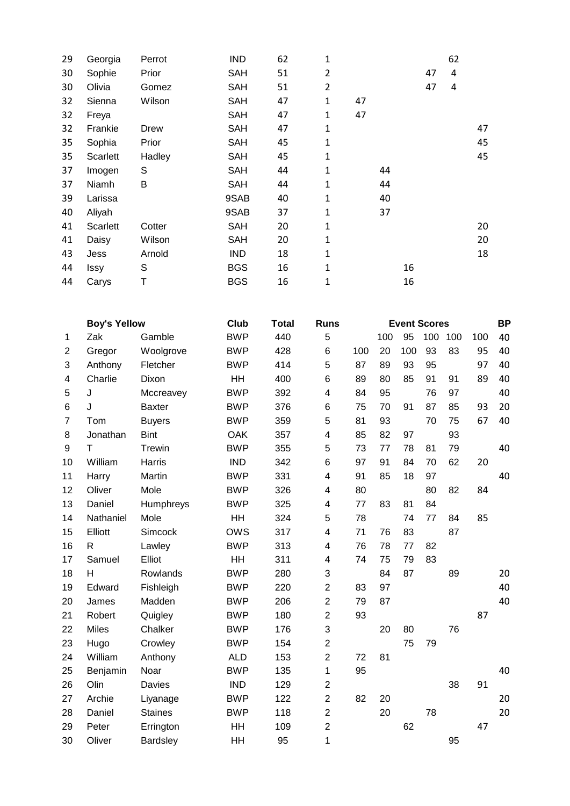| 29 | Georgia  | Perrot | <b>IND</b> | 62 | 1              |    |    |    |    | 62 |    |
|----|----------|--------|------------|----|----------------|----|----|----|----|----|----|
| 30 | Sophie   | Prior  | <b>SAH</b> | 51 | 2              |    |    |    | 47 | 4  |    |
| 30 | Olivia   | Gomez  | <b>SAH</b> | 51 | $\overline{2}$ |    |    |    | 47 | 4  |    |
| 32 | Sienna   | Wilson | <b>SAH</b> | 47 | $\mathbf{1}$   | 47 |    |    |    |    |    |
| 32 | Freya    |        | <b>SAH</b> | 47 | 1              | 47 |    |    |    |    |    |
| 32 | Frankie  | Drew   | <b>SAH</b> | 47 | 1              |    |    |    |    |    | 47 |
| 35 | Sophia   | Prior  | <b>SAH</b> | 45 | 1              |    |    |    |    |    | 45 |
| 35 | Scarlett | Hadley | <b>SAH</b> | 45 | 1              |    |    |    |    |    | 45 |
| 37 | Imogen   | S      | <b>SAH</b> | 44 | 1              |    | 44 |    |    |    |    |
| 37 | Niamh    | B      | <b>SAH</b> | 44 | 1              |    | 44 |    |    |    |    |
| 39 | Larissa  |        | 9SAB       | 40 | 1              |    | 40 |    |    |    |    |
| 40 | Aliyah   |        | 9SAB       | 37 | 1              |    | 37 |    |    |    |    |
| 41 | Scarlett | Cotter | <b>SAH</b> | 20 | 1              |    |    |    |    |    | 20 |
| 41 | Daisy    | Wilson | <b>SAH</b> | 20 | 1              |    |    |    |    |    | 20 |
| 43 | Jess     | Arnold | <b>IND</b> | 18 | 1              |    |    |    |    |    | 18 |
| 44 | Issy     | S      | <b>BGS</b> | 16 | 1              |    |    | 16 |    |    |    |
| 44 | Carys    | T      | <b>BGS</b> | 16 | 1              |    |    | 16 |    |    |    |

|              | <b>Boy's Yellow</b> |                | <b>Club</b> | <b>Total</b> | <b>Runs</b>    |                         |    | <b>Event Scores</b> |    |     |    | <b>BP</b> |
|--------------|---------------------|----------------|-------------|--------------|----------------|-------------------------|----|---------------------|----|-----|----|-----------|
| 1            | Zak                 | Gamble         | <b>BWP</b>  | 440          | 5              | 95<br>100<br>100<br>100 |    |                     |    | 100 | 40 |           |
| $\mathbf{2}$ | Gregor              | Woolgrove      | <b>BWP</b>  | 428          | 6              | 100                     | 20 | 100                 | 93 | 83  | 95 | 40        |
| 3            | Anthony             | Fletcher       | <b>BWP</b>  | 414          | 5              | 87                      | 89 | 93                  | 95 |     | 97 | 40        |
| 4            | Charlie             | Dixon          | HH          | 400          | 6              | 89                      | 80 | 85                  | 91 | 91  | 89 | 40        |
| 5            | J                   | Mccreavey      | <b>BWP</b>  | 392          | 4              | 84                      | 95 |                     | 76 | 97  |    | 40        |
| 6            | J                   | <b>Baxter</b>  | <b>BWP</b>  | 376          | 6              | 75                      | 70 | 91                  | 87 | 85  | 93 | 20        |
| 7            | Tom                 | <b>Buyers</b>  | <b>BWP</b>  | 359          | 5              | 81                      | 93 |                     | 70 | 75  | 67 | 40        |
| 8            | Jonathan            | <b>Bint</b>    | <b>OAK</b>  | 357          | 4              | 85                      | 82 | 97                  |    | 93  |    |           |
| 9            | T                   | Trewin         | <b>BWP</b>  | 355          | 5              | 73                      | 77 | 78                  | 81 | 79  |    | 40        |
| 10           | William             | Harris         | <b>IND</b>  | 342          | 6              | 97                      | 91 | 84                  | 70 | 62  | 20 |           |
| 11           | Harry               | Martin         | <b>BWP</b>  | 331          | 4              | 91                      | 85 | 18                  | 97 |     |    | 40        |
| 12           | Oliver              | Mole           | <b>BWP</b>  | 326          | 4              | 80                      |    |                     | 80 | 82  | 84 |           |
| 13           | Daniel              | Humphreys      | <b>BWP</b>  | 325          | 4              | 77                      | 83 | 81                  | 84 |     |    |           |
| 14           | Nathaniel           | Mole           | <b>HH</b>   | 324          | 5              | 78                      |    | 74                  | 77 | 84  | 85 |           |
| 15           | Elliott             | Simcock        | <b>OWS</b>  | 317          | 4              | 71                      | 76 | 83                  |    | 87  |    |           |
| 16           | R                   | Lawley         | <b>BWP</b>  | 313          | 4              | 76                      | 78 | 77                  | 82 |     |    |           |
| 17           | Samuel              | Elliot         | HH          | 311          | 4              | 74                      | 75 | 79                  | 83 |     |    |           |
| 18           | H                   | Rowlands       | <b>BWP</b>  | 280          | 3              |                         | 84 | 87                  |    | 89  |    | 20        |
| 19           | Edward              | Fishleigh      | <b>BWP</b>  | 220          | $\overline{c}$ | 83                      | 97 |                     |    |     |    | 40        |
| 20           | James               | Madden         | <b>BWP</b>  | 206          | $\overline{c}$ | 79                      | 87 |                     |    |     |    | 40        |
| 21           | Robert              | Quigley        | <b>BWP</b>  | 180          | $\overline{c}$ | 93                      |    |                     |    |     | 87 |           |
| 22           | Miles               | Chalker        | <b>BWP</b>  | 176          | 3              |                         | 20 | 80                  |    | 76  |    |           |
| 23           | Hugo                | Crowley        | <b>BWP</b>  | 154          | $\overline{2}$ |                         |    | 75                  | 79 |     |    |           |
| 24           | William             | Anthony        | <b>ALD</b>  | 153          | $\overline{2}$ | 72                      | 81 |                     |    |     |    |           |
| 25           | Benjamin            | Noar           | <b>BWP</b>  | 135          | 1              | 95                      |    |                     |    |     |    | 40        |
| 26           | Olin                | <b>Davies</b>  | <b>IND</b>  | 129          | $\overline{c}$ |                         |    |                     |    | 38  | 91 |           |
| 27           | Archie              | Liyanage       | <b>BWP</b>  | 122          | $\overline{2}$ | 82                      | 20 |                     |    |     |    | 20        |
| 28           | Daniel              | <b>Staines</b> | <b>BWP</b>  | 118          | $\overline{2}$ |                         | 20 |                     | 78 |     |    | 20        |
| 29           | Peter               | Errington      | HH          | 109          | $\overline{2}$ |                         |    | 62                  |    |     | 47 |           |
| 30           | Oliver              | Bardsley       | HH          | 95           | 1              |                         |    |                     |    | 95  |    |           |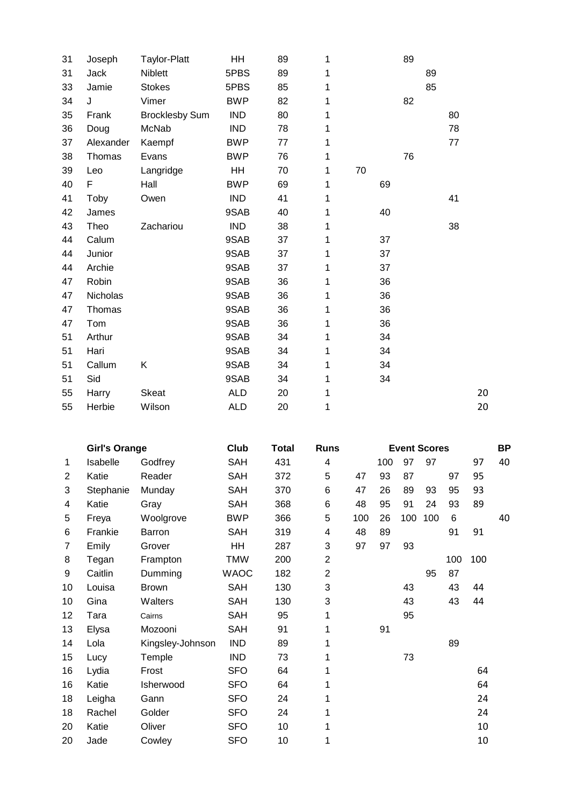| 31 | Joseph    | <b>Taylor-Platt</b>   | HH         | 89 | 1 |    |    | 89 |    |    |    |
|----|-----------|-----------------------|------------|----|---|----|----|----|----|----|----|
| 31 | Jack      | <b>Niblett</b>        | 5PBS       | 89 | 1 |    |    |    | 89 |    |    |
| 33 | Jamie     | <b>Stokes</b>         | 5PBS       | 85 | 1 |    |    |    | 85 |    |    |
| 34 | J         | Vimer                 | <b>BWP</b> | 82 | 1 |    |    | 82 |    |    |    |
| 35 | Frank     | <b>Brocklesby Sum</b> | <b>IND</b> | 80 | 1 |    |    |    |    | 80 |    |
| 36 | Doug      | McNab                 | <b>IND</b> | 78 | 1 |    |    |    |    | 78 |    |
| 37 | Alexander | Kaempf                | <b>BWP</b> | 77 | 1 |    |    |    |    | 77 |    |
| 38 | Thomas    | Evans                 | <b>BWP</b> | 76 | 1 |    |    | 76 |    |    |    |
| 39 | Leo       | Langridge             | HH         | 70 | 1 | 70 |    |    |    |    |    |
| 40 | F         | Hall                  | <b>BWP</b> | 69 | 1 |    | 69 |    |    |    |    |
| 41 | Toby      | Owen                  | <b>IND</b> | 41 | 1 |    |    |    |    | 41 |    |
| 42 | James     |                       | 9SAB       | 40 | 1 |    | 40 |    |    |    |    |
| 43 | Theo      | Zachariou             | <b>IND</b> | 38 | 1 |    |    |    |    | 38 |    |
| 44 | Calum     |                       | 9SAB       | 37 | 1 |    | 37 |    |    |    |    |
| 44 | Junior    |                       | 9SAB       | 37 | 1 |    | 37 |    |    |    |    |
| 44 | Archie    |                       | 9SAB       | 37 | 1 |    | 37 |    |    |    |    |
| 47 | Robin     |                       | 9SAB       | 36 | 1 |    | 36 |    |    |    |    |
| 47 | Nicholas  |                       | 9SAB       | 36 | 1 |    | 36 |    |    |    |    |
| 47 | Thomas    |                       | 9SAB       | 36 | 1 |    | 36 |    |    |    |    |
| 47 | Tom       |                       | 9SAB       | 36 | 1 |    | 36 |    |    |    |    |
| 51 | Arthur    |                       | 9SAB       | 34 | 1 |    | 34 |    |    |    |    |
| 51 | Hari      |                       | 9SAB       | 34 | 1 |    | 34 |    |    |    |    |
| 51 | Callum    | Κ                     | 9SAB       | 34 | 1 |    | 34 |    |    |    |    |
| 51 | Sid       |                       | 9SAB       | 34 | 1 |    | 34 |    |    |    |    |
| 55 | Harry     | <b>Skeat</b>          | <b>ALD</b> | 20 | 1 |    |    |    |    |    | 20 |
| 55 | Herbie    | Wilson                | <b>ALD</b> | 20 | 1 |    |    |    |    |    | 20 |

|    | <b>Girl's Orange</b> |                  | Club        | Total | <b>Runs</b>               |     |     | <b>Event Scores</b> |     |     |     | <b>BP</b> |
|----|----------------------|------------------|-------------|-------|---------------------------|-----|-----|---------------------|-----|-----|-----|-----------|
| 1  | Isabelle             | Godfrey          | <b>SAH</b>  | 431   | 4                         |     | 100 | 97                  | 97  |     | 97  | 40        |
| 2  | Katie                | Reader           | <b>SAH</b>  | 372   | 5                         | 47  | 93  | 87                  |     | 97  | 95  |           |
| 3  | Stephanie            | Munday           | <b>SAH</b>  | 370   | 6                         | 47  | 26  | 89                  | 93  | 95  | 93  |           |
| 4  | Katie                | Gray             | <b>SAH</b>  | 368   | 6                         | 48  | 95  | 91                  | 24  | 93  | 89  |           |
| 5  | Freya                | Woolgrove        | <b>BWP</b>  | 366   | 5                         | 100 | 26  | 100                 | 100 | 6   |     | 40        |
| 6  | Frankie              | <b>Barron</b>    | <b>SAH</b>  | 319   | 4                         | 48  | 89  |                     |     | 91  | 91  |           |
| 7  | Emily                | Grover           | <b>HH</b>   | 287   | 3                         | 97  | 97  | 93                  |     |     |     |           |
| 8  | Tegan                | Frampton         | <b>TMW</b>  | 200   | $\overline{2}$            |     |     |                     |     | 100 | 100 |           |
| 9  | Caitlin              | Dumming          | <b>WAOC</b> | 182   | $\overline{2}$            |     |     |                     | 95  | 87  |     |           |
| 10 | Louisa               | <b>Brown</b>     | <b>SAH</b>  | 130   | 3                         |     |     | 43                  |     | 43  | 44  |           |
| 10 | Gina                 | Walters          | <b>SAH</b>  | 130   | $\ensuremath{\mathsf{3}}$ |     |     | 43                  |     | 43  | 44  |           |
| 12 | Tara                 | Cairns           | <b>SAH</b>  | 95    | 1                         |     |     | 95                  |     |     |     |           |
| 13 | Elysa                | Mozooni          | <b>SAH</b>  | 91    | 1                         |     | 91  |                     |     |     |     |           |
| 14 | Lola                 | Kingsley-Johnson | <b>IND</b>  | 89    | 1                         |     |     |                     |     | 89  |     |           |
| 15 | Lucy                 | Temple           | <b>IND</b>  | 73    | 1                         |     |     | 73                  |     |     |     |           |
| 16 | Lydia                | Frost            | <b>SFO</b>  | 64    | 1                         |     |     |                     |     |     | 64  |           |
| 16 | Katie                | Isherwood        | <b>SFO</b>  | 64    | 1                         |     |     |                     |     |     | 64  |           |
| 18 | Leigha               | Gann             | <b>SFO</b>  | 24    | 1                         |     |     |                     |     |     | 24  |           |
| 18 | Rachel               | Golder           | <b>SFO</b>  | 24    | 1                         |     |     |                     |     |     | 24  |           |
| 20 | Katie                | Oliver           | <b>SFO</b>  | 10    | 1                         |     |     |                     |     |     | 10  |           |
| 20 | Jade                 | Cowley           | <b>SFO</b>  | 10    | 1                         |     |     |                     |     |     | 10  |           |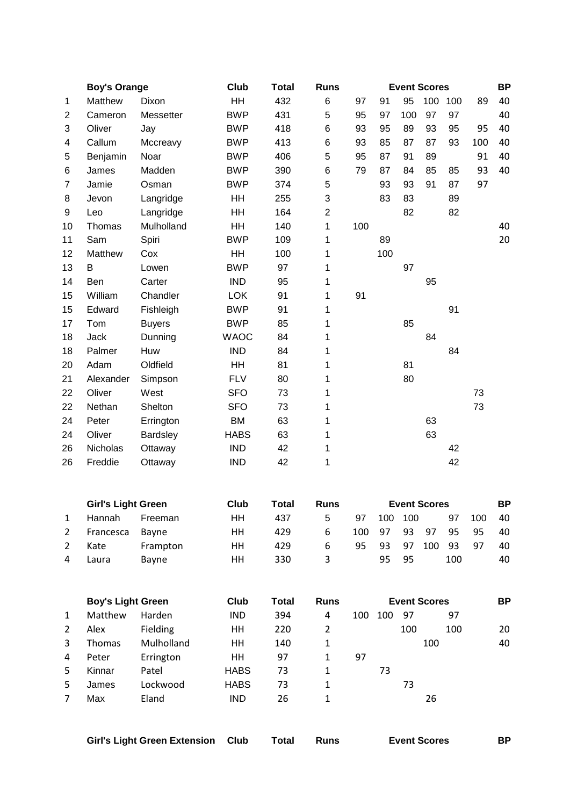|                | <b>Boy's Orange</b> |                 | Club        | <b>Total</b> | <b>Runs</b>    |     |     |     | <b>Event Scores</b> |     |     | <b>BP</b> |
|----------------|---------------------|-----------------|-------------|--------------|----------------|-----|-----|-----|---------------------|-----|-----|-----------|
| 1              | Matthew             | Dixon           | HH          | 432          | 6              | 97  | 91  | 95  | 100                 | 100 | 89  | 40        |
| $\overline{c}$ | Cameron             | Messetter       | <b>BWP</b>  | 431          | 5              | 95  | 97  | 100 | 97                  | 97  |     | 40        |
| 3              | Oliver              | Jay             | <b>BWP</b>  | 418          | 6              | 93  | 95  | 89  | 93                  | 95  | 95  | 40        |
| 4              | Callum              | Mccreavy        | <b>BWP</b>  | 413          | 6              | 93  | 85  | 87  | 87                  | 93  | 100 | 40        |
| 5              | Benjamin            | Noar            | <b>BWP</b>  | 406          | 5              | 95  | 87  | 91  | 89                  |     | 91  | 40        |
| 6              | James               | Madden          | <b>BWP</b>  | 390          | 6              | 79  | 87  | 84  | 85                  | 85  | 93  | 40        |
| 7              | Jamie               | Osman           | <b>BWP</b>  | 374          | 5              |     | 93  | 93  | 91                  | 87  | 97  |           |
| 8              | Jevon               | Langridge       | HH          | 255          | 3              |     | 83  | 83  |                     | 89  |     |           |
| 9              | Leo                 | Langridge       | HH          | 164          | $\overline{2}$ |     |     | 82  |                     | 82  |     |           |
| 10             | Thomas              | Mulholland      | <b>HH</b>   | 140          | 1              | 100 |     |     |                     |     |     | 40        |
| 11             | Sam                 | Spiri           | <b>BWP</b>  | 109          | 1              |     | 89  |     |                     |     |     | 20        |
| 12             | Matthew             | Cox             | HH          | 100          | 1              |     | 100 |     |                     |     |     |           |
| 13             | B                   | Lowen           | <b>BWP</b>  | 97           | 1              |     |     | 97  |                     |     |     |           |
| 14             | Ben                 | Carter          | <b>IND</b>  | 95           | 1              |     |     |     | 95                  |     |     |           |
| 15             | William             | Chandler        | <b>LOK</b>  | 91           | 1              | 91  |     |     |                     |     |     |           |
| 15             | Edward              | Fishleigh       | <b>BWP</b>  | 91           | 1              |     |     |     |                     | 91  |     |           |
| 17             | Tom                 | <b>Buyers</b>   | <b>BWP</b>  | 85           | 1              |     |     | 85  |                     |     |     |           |
| 18             | <b>Jack</b>         | Dunning         | <b>WAOC</b> | 84           | 1              |     |     |     | 84                  |     |     |           |
| 18             | Palmer              | Huw             | <b>IND</b>  | 84           | 1              |     |     |     |                     | 84  |     |           |
| 20             | Adam                | Oldfield        | <b>HH</b>   | 81           | 1              |     |     | 81  |                     |     |     |           |
| 21             | Alexander           | Simpson         | <b>FLV</b>  | 80           | 1              |     |     | 80  |                     |     |     |           |
| 22             | Oliver              | West            | <b>SFO</b>  | 73           | 1              |     |     |     |                     |     | 73  |           |
| 22             | Nethan              | Shelton         | <b>SFO</b>  | 73           | 1              |     |     |     |                     |     | 73  |           |
| 24             | Peter               | Errington       | <b>BM</b>   | 63           | 1              |     |     |     | 63                  |     |     |           |
| 24             | Oliver              | <b>Bardsley</b> | <b>HABS</b> | 63           | 1              |     |     |     | 63                  |     |     |           |
| 26             | Nicholas            | Ottaway         | <b>IND</b>  | 42           | 1              |     |     |     |                     | 42  |     |           |
| 26             | Freddie             | Ottaway         | <b>IND</b>  | 42           | 1              |     |     |     |                     | 42  |     |           |
|                |                     |                 |             |              |                |     |     |     |                     |     |     |           |

|             | <b>Girl's Light Green</b> |              | Club | Total | <b>Runs</b> |     |     |     | <b>Event Scores</b> |     |     | <b>BP</b> |
|-------------|---------------------------|--------------|------|-------|-------------|-----|-----|-----|---------------------|-----|-----|-----------|
|             | <b>Hannah</b>             | Freeman      | HН   | 437   | 5           | 97  | 100 | 100 |                     | 97  | 100 | 40        |
| $2^{\circ}$ | Francesca                 | Bavne        | HН   | 429   | 6           | 100 | 97  | 93  | 97                  | 95  | 95  | 40        |
|             | Kate                      | Frampton     | HН   | 429   | 6           | 95  | 93  | 97  | 100                 | 93  | -97 | 40        |
|             | Laura                     | <b>Bavne</b> | HН   | 330   | 3           |     | 95  | 95  |                     | 100 |     | 40        |

|    | <b>Boy's Light Green</b> |            | Club        | Total | <b>Runs</b> |     |     | <b>Event Scores</b> |     | ΒP |
|----|--------------------------|------------|-------------|-------|-------------|-----|-----|---------------------|-----|----|
| 1  | Matthew                  | Harden     | <b>IND</b>  | 394   | 4           | 100 | 100 | 97                  | 97  |    |
| 2  | Alex                     | Fielding   | HН          | 220   | 2           |     |     | 100                 | 100 | 20 |
| 3  | Thomas                   | Mulholland | HН          | 140   |             |     |     |                     | 100 | 40 |
| 4  | Peter                    | Errington  | HН          | 97    |             | 97  |     |                     |     |    |
| 5  | Kinnar                   | Patel      | <b>HABS</b> | 73    |             |     | 73  |                     |     |    |
| 5. | James                    | Lockwood   | <b>HABS</b> | 73    |             |     |     | 73                  |     |    |
| 7  | Max                      | Eland      | <b>IND</b>  | 26    | 1           |     |     |                     | 26  |    |

| <b>Girl's Light Green Extension Club</b> |  | Runs | <b>Event Scores</b> | ΒP |
|------------------------------------------|--|------|---------------------|----|
|                                          |  |      |                     |    |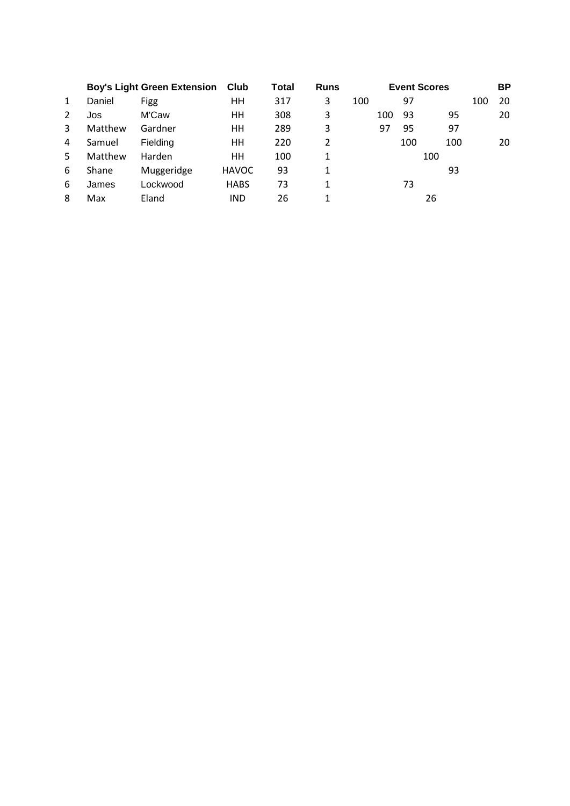|    | <b>Boy's Light Green Extension</b> |            | Club         | Total | <b>Runs</b> |     |     |     | <b>Event Scores</b> |     | <b>BP</b> |
|----|------------------------------------|------------|--------------|-------|-------------|-----|-----|-----|---------------------|-----|-----------|
| 1  | Daniel                             | Figg       | HН           | 317   | 3           | 100 |     | 97  |                     | 100 | 20        |
| 2  | Jos                                | M'Caw      | HН           | 308   | 3           |     | 100 | 93  | 95                  |     | 20        |
| 3  | Matthew                            | Gardner    | HН           | 289   | 3           |     | 97  | 95  | 97                  |     |           |
| 4  | Samuel                             | Fielding   | HН           | 220   | 2           |     |     | 100 | 100                 |     | 20        |
| 5. | Matthew                            | Harden     | HН           | 100   | 1           |     |     |     | 100                 |     |           |
| 6  | Shane                              | Muggeridge | <b>HAVOC</b> | 93    | 1           |     |     |     | 93                  |     |           |
| 6  | James                              | Lockwood   | <b>HABS</b>  | 73    | 1           |     |     | 73  |                     |     |           |
| 8  | Max                                | Eland      | <b>IND</b>   | 26    |             |     |     |     | 26                  |     |           |